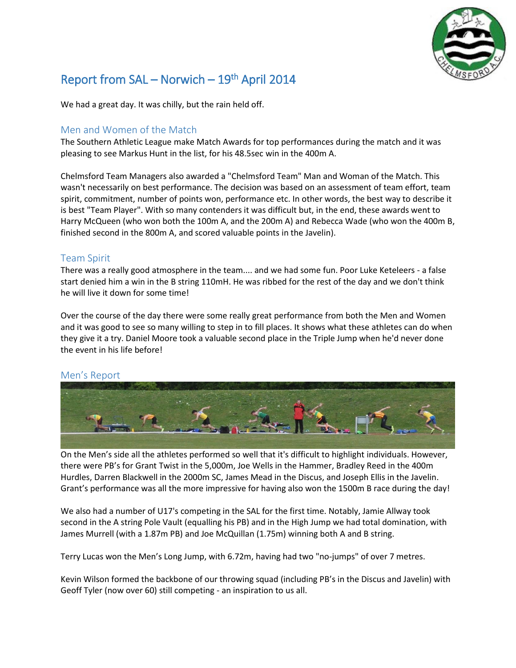

# Report from SAL – Norwich – 19<sup>th</sup> April 2014

We had a great day. It was chilly, but the rain held off.

## Men and Women of the Match

The Southern Athletic League make Match Awards for top performances during the match and it was pleasing to see Markus Hunt in the list, for his 48.5sec win in the 400m A.

Chelmsford Team Managers also awarded a "Chelmsford Team" Man and Woman of the Match. This wasn't necessarily on best performance. The decision was based on an assessment of team effort, team spirit, commitment, number of points won, performance etc. In other words, the best way to describe it is best "Team Player". With so many contenders it was difficult but, in the end, these awards went to Harry McQueen (who won both the 100m A, and the 200m A) and Rebecca Wade (who won the 400m B, finished second in the 800m A, and scored valuable points in the Javelin).

## Team Spirit

There was a really good atmosphere in the team.... and we had some fun. Poor Luke Keteleers - a false start denied him a win in the B string 110mH. He was ribbed for the rest of the day and we don't think he will live it down for some time!

Over the course of the day there were some really great performance from both the Men and Women and it was good to see so many willing to step in to fill places. It shows what these athletes can do when they give it a try. Daniel Moore took a valuable second place in the Triple Jump when he'd never done the event in his life before!

## Men's Report



On the Men's side all the athletes performed so well that it's difficult to highlight individuals. However, there were PB's for Grant Twist in the 5,000m, Joe Wells in the Hammer, Bradley Reed in the 400m Hurdles, Darren Blackwell in the 2000m SC, James Mead in the Discus, and Joseph Ellis in the Javelin. Grant's performance was all the more impressive for having also won the 1500m B race during the day!

We also had a number of U17's competing in the SAL for the first time. Notably, Jamie Allway took second in the A string Pole Vault (equalling his PB) and in the High Jump we had total domination, with James Murrell (with a 1.87m PB) and Joe McQuillan (1.75m) winning both A and B string.

Terry Lucas won the Men's Long Jump, with 6.72m, having had two "no-jumps" of over 7 metres.

Kevin Wilson formed the backbone of our throwing squad (including PB's in the Discus and Javelin) with Geoff Tyler (now over 60) still competing - an inspiration to us all.